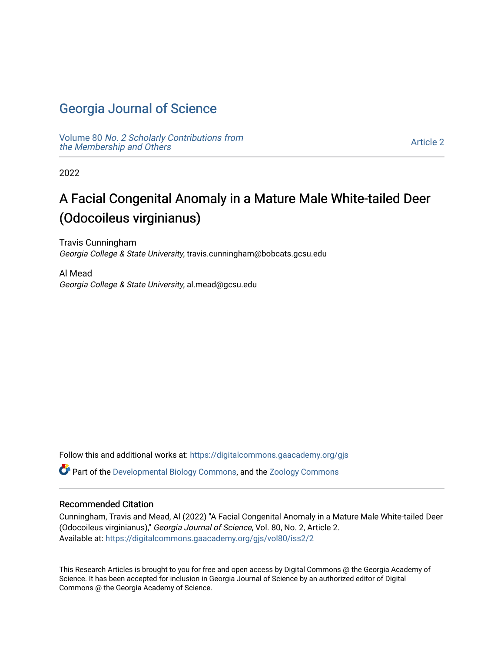## [Georgia Journal of Science](https://digitalcommons.gaacademy.org/gjs)

Volume 80 [No. 2 Scholarly Contributions from](https://digitalcommons.gaacademy.org/gjs/vol80) [the Membership and Others](https://digitalcommons.gaacademy.org/gjs/vol80) 

[Article 2](https://digitalcommons.gaacademy.org/gjs/vol80/iss2/2) 

2022

# A Facial Congenital Anomaly in a Mature Male White-tailed Deer (Odocoileus virginianus)

Travis Cunningham Georgia College & State University, travis.cunningham@bobcats.gcsu.edu

Al Mead Georgia College & State University, al.mead@gcsu.edu

Follow this and additional works at: [https://digitalcommons.gaacademy.org/gjs](https://digitalcommons.gaacademy.org/gjs?utm_source=digitalcommons.gaacademy.org%2Fgjs%2Fvol80%2Fiss2%2F2&utm_medium=PDF&utm_campaign=PDFCoverPages) 

Part of the [Developmental Biology Commons](http://network.bepress.com/hgg/discipline/11?utm_source=digitalcommons.gaacademy.org%2Fgjs%2Fvol80%2Fiss2%2F2&utm_medium=PDF&utm_campaign=PDFCoverPages), and the [Zoology Commons](http://network.bepress.com/hgg/discipline/81?utm_source=digitalcommons.gaacademy.org%2Fgjs%2Fvol80%2Fiss2%2F2&utm_medium=PDF&utm_campaign=PDFCoverPages) 

#### Recommended Citation

Cunningham, Travis and Mead, Al (2022) "A Facial Congenital Anomaly in a Mature Male White-tailed Deer (Odocoileus virginianus)," Georgia Journal of Science, Vol. 80, No. 2, Article 2. Available at: [https://digitalcommons.gaacademy.org/gjs/vol80/iss2/2](https://digitalcommons.gaacademy.org/gjs/vol80/iss2/2?utm_source=digitalcommons.gaacademy.org%2Fgjs%2Fvol80%2Fiss2%2F2&utm_medium=PDF&utm_campaign=PDFCoverPages)

This Research Articles is brought to you for free and open access by Digital Commons @ the Georgia Academy of Science. It has been accepted for inclusion in Georgia Journal of Science by an authorized editor of Digital Commons @ the Georgia Academy of Science.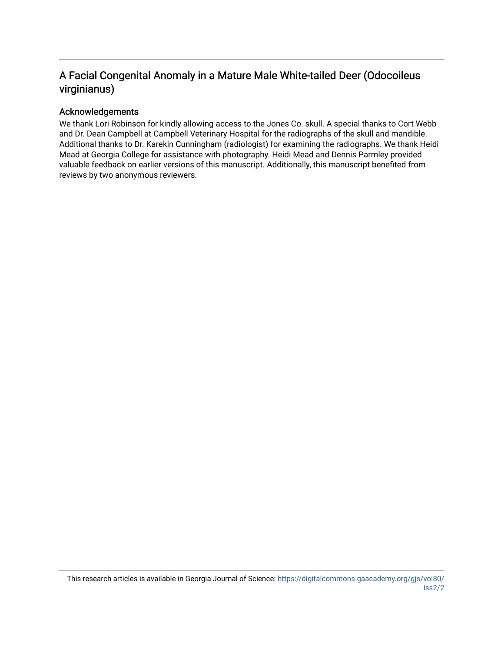### A Facial Congenital Anomaly in a Mature Male White-tailed Deer (Odocoileus virginianus)

#### Acknowledgements

We thank Lori Robinson for kindly allowing access to the Jones Co. skull. A special thanks to Cort Webb and Dr. Dean Campbell at Campbell Veterinary Hospital for the radiographs of the skull and mandible. Additional thanks to Dr. Karekin Cunningham (radiologist) for examining the radiographs. We thank Heidi Mead at Georgia College for assistance with photography. Heidi Mead and Dennis Parmley provided valuable feedback on earlier versions of this manuscript. Additionally, this manuscript benefited from reviews by two anonymous reviewers.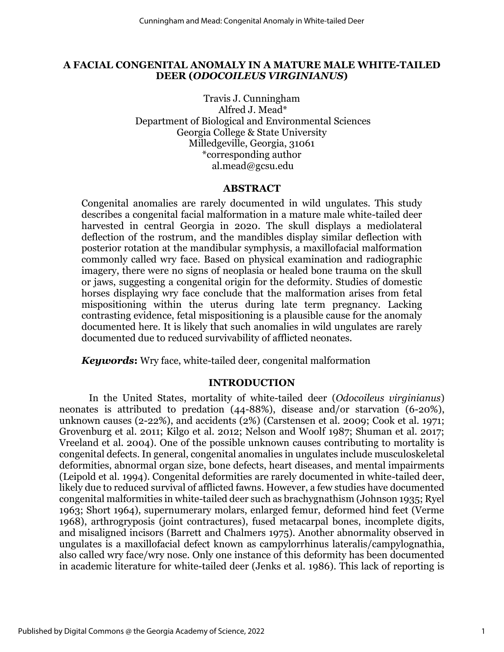#### **A FACIAL CONGENITAL ANOMALY IN A MATURE MALE WHITE-TAILED DEER (***ODOCOILEUS VIRGINIANUS***)**

Travis J. Cunningham Alfred J. Mead\* Department of Biological and Environmental Sciences Georgia College & State University Milledgeville, Georgia, 31061 \*corresponding author al.mead@gcsu.edu

#### **ABSTRACT**

Congenital anomalies are rarely documented in wild ungulates. This study describes a congenital facial malformation in a mature male white-tailed deer harvested in central Georgia in 2020. The skull displays a mediolateral deflection of the rostrum, and the mandibles display similar deflection with posterior rotation at the mandibular symphysis, a maxillofacial malformation commonly called wry face. Based on physical examination and radiographic imagery, there were no signs of neoplasia or healed bone trauma on the skull or jaws, suggesting a congenital origin for the deformity. Studies of domestic horses displaying wry face conclude that the malformation arises from fetal mispositioning within the uterus during late term pregnancy. Lacking contrasting evidence, fetal mispositioning is a plausible cause for the anomaly documented here. It is likely that such anomalies in wild ungulates are rarely documented due to reduced survivability of afflicted neonates.

*Keywords***:** Wry face, white-tailed deer*,* congenital malformation

#### **INTRODUCTION**

In the United States, mortality of white-tailed deer (*Odocoileus virginianus*) neonates is attributed to predation (44-88%), disease and/or starvation (6-20%), unknown causes (2-22%), and accidents (2%) (Carstensen et al. 2009; Cook et al. 1971; Grovenburg et al. 2011; Kilgo et al. 2012; Nelson and Woolf 1987; Shuman et al. 2017; Vreeland et al. 2004). One of the possible unknown causes contributing to mortality is congenital defects. In general, congenital anomalies in ungulates include musculoskeletal deformities, abnormal organ size, bone defects, heart diseases, and mental impairments (Leipold et al. 1994). Congenital deformities are rarely documented in white-tailed deer, likely due to reduced survival of afflicted fawns. However, a few studies have documented congenital malformities in white-tailed deer such as brachygnathism (Johnson 1935; Ryel 1963; Short 1964), supernumerary molars, enlarged femur, deformed hind feet (Verme 1968), arthrogryposis (joint contractures), fused metacarpal bones, incomplete digits, and misaligned incisors (Barrett and Chalmers 1975). Another abnormality observed in ungulates is a maxillofacial defect known as campylorrhinus lateralis/campylognathia, also called wry face/wry nose. Only one instance of this deformity has been documented in academic literature for white-tailed deer (Jenks et al. 1986). This lack of reporting is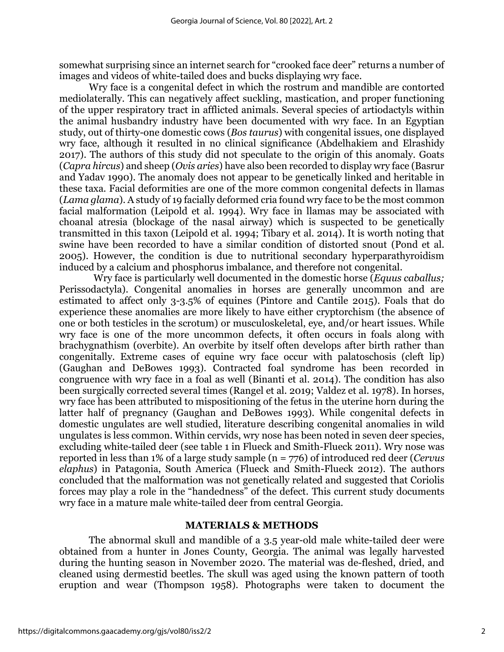somewhat surprising since an internet search for "crooked face deer" returns a number of images and videos of white-tailed does and bucks displaying wry face.

Wry face is a congenital defect in which the rostrum and mandible are contorted mediolaterally. This can negatively affect suckling, mastication, and proper functioning of the upper respiratory tract in afflicted animals. Several species of artiodactyls within the animal husbandry industry have been documented with wry face. In an Egyptian study, out of thirty-one domestic cows (*Bos taurus*) with congenital issues, one displayed wry face, although it resulted in no clinical significance (Abdelhakiem and Elrashidy 2017). The authors of this study did not speculate to the origin of this anomaly. Goats (*Capra hircus*) and sheep (*Ovis aries*) have also been recorded to display wry face (Basrur and Yadav 1990). The anomaly does not appear to be genetically linked and heritable in these taxa. Facial deformities are one of the more common congenital defects in llamas (*Lama glama*). A study of 19 facially deformed cria found wry face to be the most common facial malformation (Leipold et al. 1994). Wry face in llamas may be associated with choanal atresia (blockage of the nasal airway) which is suspected to be genetically transmitted in this taxon (Leipold et al. 1994; Tibary et al. 2014). It is worth noting that swine have been recorded to have a similar condition of distorted snout (Pond et al. 2005). However, the condition is due to nutritional secondary hyperparathyroidism induced by a calcium and phosphorus imbalance, and therefore not congenital.

Wry face is particularly well documented in the domestic horse (*Equus caballus;*  Perissodactyla). Congenital anomalies in horses are generally uncommon and are estimated to affect only 3-3.5% of equines (Pintore and Cantile 2015). Foals that do experience these anomalies are more likely to have either cryptorchism (the absence of one or both testicles in the scrotum) or musculoskeletal, eye, and/or heart issues. While wry face is one of the more uncommon defects, it often occurs in foals along with brachygnathism (overbite). An overbite by itself often develops after birth rather than congenitally. Extreme cases of equine wry face occur with palatoschosis (cleft lip) (Gaughan and DeBowes 1993). Contracted foal syndrome has been recorded in congruence with wry face in a foal as well (Binanti et al. 2014). The condition has also been surgically corrected several times (Rangel et al. 2019; Valdez et al. 1978). In horses, wry face has been attributed to mispositioning of the fetus in the uterine horn during the latter half of pregnancy (Gaughan and DeBowes 1993). While congenital defects in domestic ungulates are well studied, literature describing congenital anomalies in wild ungulates is less common. Within cervids, wry nose has been noted in seven deer species, excluding white-tailed deer (see table 1 in Flueck and Smith-Flueck 2011). Wry nose was reported in less than 1% of a large study sample (n = 776) of introduced red deer (*Cervus elaphus*) in Patagonia, South America (Flueck and Smith-Flueck 2012). The authors concluded that the malformation was not genetically related and suggested that Coriolis forces may play a role in the "handedness" of the defect. This current study documents wry face in a mature male white-tailed deer from central Georgia.

#### **MATERIALS & METHODS**

The abnormal skull and mandible of a 3.5 year-old male white-tailed deer were obtained from a hunter in Jones County, Georgia. The animal was legally harvested during the hunting season in November 2020. The material was de-fleshed, dried, and cleaned using dermestid beetles. The skull was aged using the known pattern of tooth eruption and wear (Thompson 1958). Photographs were taken to document the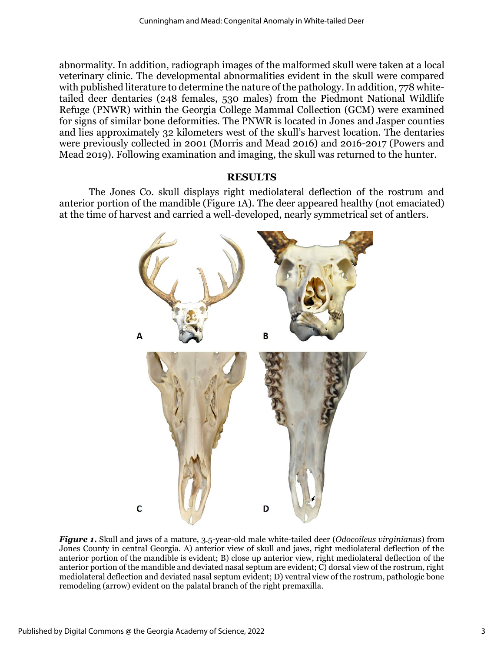abnormality. In addition, radiograph images of the malformed skull were taken at a local veterinary clinic. The developmental abnormalities evident in the skull were compared with published literature to determine the nature of the pathology. In addition, 778 whitetailed deer dentaries (248 females, 530 males) from the Piedmont National Wildlife Refuge (PNWR) within the Georgia College Mammal Collection (GCM) were examined for signs of similar bone deformities. The PNWR is located in Jones and Jasper counties and lies approximately 32 kilometers west of the skull's harvest location. The dentaries were previously collected in 2001 (Morris and Mead 2016) and 2016-2017 (Powers and Mead 2019). Following examination and imaging, the skull was returned to the hunter.

#### **RESULTS**

The Jones Co. skull displays right mediolateral deflection of the rostrum and anterior portion of the mandible (Figure 1A). The deer appeared healthy (not emaciated) at the time of harvest and carried a well-developed, nearly symmetrical set of antlers.



*Figure 1***.** Skull and jaws of a mature, 3.5-year-old male white-tailed deer (*Odocoileus virginianus*) from Jones County in central Georgia. A) anterior view of skull and jaws, right mediolateral deflection of the anterior portion of the mandible is evident; B) close up anterior view, right mediolateral deflection of the anterior portion of the mandible and deviated nasal septum are evident; C) dorsal view of the rostrum, right mediolateral deflection and deviated nasal septum evident; D) ventral view of the rostrum, pathologic bone remodeling (arrow) evident on the palatal branch of the right premaxilla.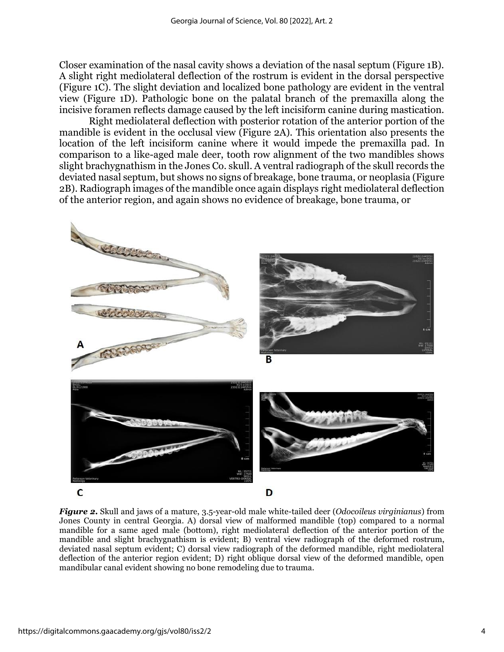Closer examination of the nasal cavity shows a deviation of the nasal septum (Figure 1B). A slight right mediolateral deflection of the rostrum is evident in the dorsal perspective (Figure 1C). The slight deviation and localized bone pathology are evident in the ventral view (Figure 1D). Pathologic bone on the palatal branch of the premaxilla along the incisive foramen reflects damage caused by the left incisiform canine during mastication.

Right mediolateral deflection with posterior rotation of the anterior portion of the mandible is evident in the occlusal view (Figure 2A). This orientation also presents the location of the left incisiform canine where it would impede the premaxilla pad. In comparison to a like-aged male deer, tooth row alignment of the two mandibles shows slight brachygnathism in the Jones Co. skull. A ventral radiograph of the skull records the deviated nasal septum, but shows no signs of breakage, bone trauma, or neoplasia (Figure 2B). Radiograph images of the mandible once again displays right mediolateral deflection of the anterior region, and again shows no evidence of breakage, bone trauma, or



*Figure 2***.** Skull and jaws of a mature, 3.5-year-old male white-tailed deer (*Odocoileus virginianus*) from Jones County in central Georgia. A) dorsal view of malformed mandible (top) compared to a normal mandible for a same aged male (bottom), right mediolateral deflection of the anterior portion of the mandible and slight brachygnathism is evident; B) ventral view radiograph of the deformed rostrum, deviated nasal septum evident; C) dorsal view radiograph of the deformed mandible, right mediolateral deflection of the anterior region evident; D) right oblique dorsal view of the deformed mandible, open mandibular canal evident showing no bone remodeling due to trauma.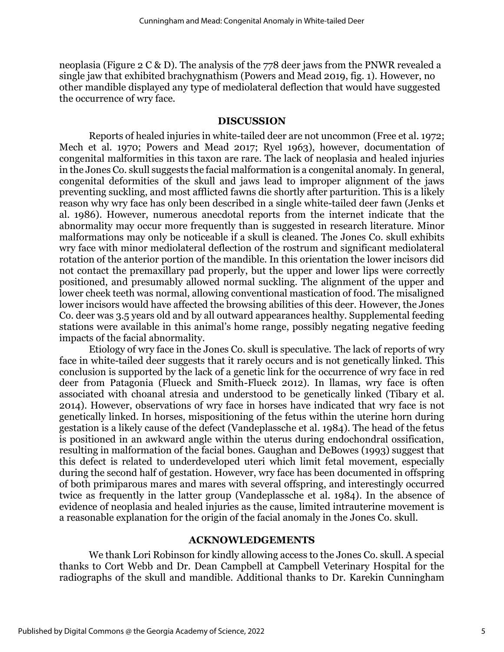neoplasia (Figure 2 C & D). The analysis of the 778 deer jaws from the PNWR revealed a single jaw that exhibited brachygnathism (Powers and Mead 2019, fig. 1). However, no other mandible displayed any type of mediolateral deflection that would have suggested the occurrence of wry face.

#### **DISCUSSION**

Reports of healed injuries in white-tailed deer are not uncommon (Free et al. 1972; Mech et al. 1970; Powers and Mead 2017; Ryel 1963), however, documentation of congenital malformities in this taxon are rare. The lack of neoplasia and healed injuries in the Jones Co. skull suggests the facial malformation is a congenital anomaly. In general, congenital deformities of the skull and jaws lead to improper alignment of the jaws preventing suckling, and most afflicted fawns die shortly after parturition. This is a likely reason why wry face has only been described in a single white-tailed deer fawn (Jenks et al. 1986). However, numerous anecdotal reports from the internet indicate that the abnormality may occur more frequently than is suggested in research literature. Minor malformations may only be noticeable if a skull is cleaned. The Jones Co. skull exhibits wry face with minor mediolateral deflection of the rostrum and significant mediolateral rotation of the anterior portion of the mandible. In this orientation the lower incisors did not contact the premaxillary pad properly, but the upper and lower lips were correctly positioned, and presumably allowed normal suckling. The alignment of the upper and lower cheek teeth was normal, allowing conventional mastication of food. The misaligned lower incisors would have affected the browsing abilities of this deer. However, the Jones Co. deer was 3.5 years old and by all outward appearances healthy. Supplemental feeding stations were available in this animal's home range, possibly negating negative feeding impacts of the facial abnormality.

Etiology of wry face in the Jones Co. skull is speculative. The lack of reports of wry face in white-tailed deer suggests that it rarely occurs and is not genetically linked. This conclusion is supported by the lack of a genetic link for the occurrence of wry face in red deer from Patagonia (Flueck and Smith-Flueck 2012). In llamas, wry face is often associated with choanal atresia and understood to be genetically linked (Tibary et al. 2014). However, observations of wry face in horses have indicated that wry face is not genetically linked. In horses, mispositioning of the fetus within the uterine horn during gestation is a likely cause of the defect (Vandeplassche et al. 1984). The head of the fetus is positioned in an awkward angle within the uterus during endochondral ossification, resulting in malformation of the facial bones. Gaughan and DeBowes (1993) suggest that this defect is related to underdeveloped uteri which limit fetal movement, especially during the second half of gestation. However, wry face has been documented in offspring of both primiparous mares and mares with several offspring, and interestingly occurred twice as frequently in the latter group (Vandeplassche et al. 1984). In the absence of evidence of neoplasia and healed injuries as the cause, limited intrauterine movement is a reasonable explanation for the origin of the facial anomaly in the Jones Co. skull.

#### **ACKNOWLEDGEMENTS**

We thank Lori Robinson for kindly allowing access to the Jones Co. skull. A special thanks to Cort Webb and Dr. Dean Campbell at Campbell Veterinary Hospital for the radiographs of the skull and mandible. Additional thanks to Dr. Karekin Cunningham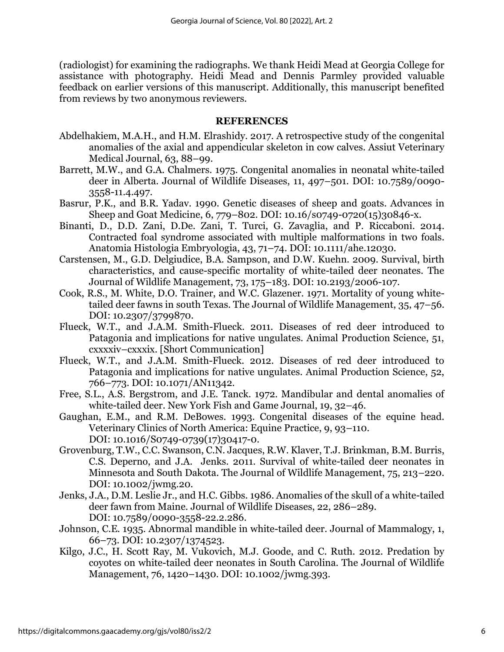(radiologist) for examining the radiographs. We thank Heidi Mead at Georgia College for assistance with photography. Heidi Mead and Dennis Parmley provided valuable feedback on earlier versions of this manuscript. Additionally, this manuscript benefited from reviews by two anonymous reviewers.

#### **REFERENCES**

- Abdelhakiem, M.A.H., and H.M. Elrashidy. 2017. A retrospective study of the congenital anomalies of the axial and appendicular skeleton in cow calves. Assiut Veterinary Medical Journal, 63, 88–99.
- Barrett, M.W., and G.A. Chalmers. 1975. Congenital anomalies in neonatal white-tailed deer in Alberta. Journal of Wildlife Diseases, 11, 497–501. DOI: 10.7589/0090- 3558-11.4.497.
- Basrur, P.K., and B.R. Yadav. 1990. Genetic diseases of sheep and goats. Advances in Sheep and Goat Medicine, 6, 779–802. DOI: 10.16/s0749-0720(15)30846-x.
- Binanti, D., D.D. Zani, D.De. Zani, T. Turci, G. Zavaglia, and P. Riccaboni. 2014. Contracted foal syndrome associated with multiple malformations in two foals. Anatomia Histologia Embryologia, 43, 71–74. DOI: 10.1111/ahe.12030.
- Carstensen, M., G.D. Delgiudice, B.A. Sampson, and D.W. Kuehn. 2009. Survival, birth characteristics, and cause-specific mortality of white-tailed deer neonates. The Journal of Wildlife Management, 73, 175–183. DOI: 10.2193/2006-107.
- Cook, R.S., M. White, D.O. Trainer, and W.C. Glazener. 1971. Mortality of young whitetailed deer fawns in south Texas. The Journal of Wildlife Management, 35, 47–56. DOI: 10.2307/3799870.
- Flueck, W.T., and J.A.M. Smith-Flueck. 2011. Diseases of red deer introduced to Patagonia and implications for native ungulates. Animal Production Science, 51, cxxxxiv–cxxxix. [Short Communication]
- Flueck, W.T., and J.A.M. Smith-Flueck. 2012. Diseases of red deer introduced to Patagonia and implications for native ungulates. Animal Production Science, 52, 766–773. DOI: 10.1071/AN11342.
- Free, S.L., A.S. Bergstrom, and J.E. Tanck. 1972. Mandibular and dental anomalies of white-tailed deer. New York Fish and Game Journal, 19, 32–46.
- Gaughan, E.M., and R.M. DeBowes. 1993. Congenital diseases of the equine head. Veterinary Clinics of North America: Equine Practice, 9, 93–110. DOI: 10.1016/S0749-0739(17)30417-0.
- Grovenburg, T.W., C.C. Swanson, C.N. Jacques, R.W. Klaver, T.J. Brinkman, B.M. Burris, C.S. Deperno, and J.A. Jenks. 2011. Survival of white-tailed deer neonates in Minnesota and South Dakota. The Journal of Wildlife Management, 75, 213–220. DOI: 10.1002/jwmg.20.
- Jenks, J.A., D.M. Leslie Jr., and H.C. Gibbs. 1986. Anomalies of the skull of a white-tailed deer fawn from Maine. Journal of Wildlife Diseases, 22, 286–289. DOI: 10.7589/0090-3558-22.2.286.
- Johnson, C.E. 1935. Abnormal mandible in white-tailed deer. Journal of Mammalogy, 1, 66–73. DOI: 10.2307/1374523.
- Kilgo, J.C., H. Scott Ray, M. Vukovich, M.J. Goode, and C. Ruth. 2012. Predation by coyotes on white-tailed deer neonates in South Carolina. The Journal of Wildlife Management, 76, 1420–1430. DOI: 10.1002/jwmg.393.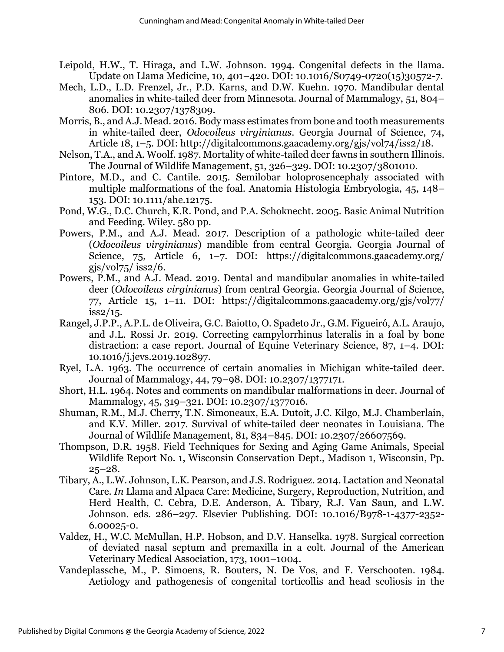- Leipold, H.W., T. Hiraga, and L.W. Johnson. 1994. Congenital defects in the llama. Update on Llama Medicine, 10, 401–420. DOI: 10.1016/S0749-0720(15)30572-7.
- Mech, L.D., L.D. Frenzel, Jr., P.D. Karns, and D.W. Kuehn. 1970. Mandibular dental anomalies in white-tailed deer from Minnesota. Journal of Mammalogy, 51, 804– 806. DOI: 10.2307/1378309.
- Morris, B., and A.J. Mead. 2016. Body mass estimates from bone and tooth measurements in white-tailed deer, *Odocoileus virginianus*. Georgia Journal of Science, 74, Article 18, 1–5. DOI: http://digitalcommons.gaacademy.org/gjs/vol74/iss2/18.
- Nelson, T.A., and A. Woolf. 1987. Mortality of white-tailed deer fawns in southern Illinois. The Journal of Wildlife Management, 51, 326–329. DOI: 10.2307/3801010.
- Pintore, M.D., and C. Cantile. 2015. Semilobar holoprosencephaly associated with multiple malformations of the foal. Anatomia Histologia Embryologia, 45, 148– 153. DOI: 10.1111/ahe.12175.
- Pond, W.G., D.C. Church, K.R. Pond, and P.A. Schoknecht. 2005. Basic Animal Nutrition and Feeding. Wiley. 580 pp.
- Powers, P.M., and A.J. Mead. 2017. Description of a pathologic white-tailed deer (*Odocoileus virginianus*) mandible from central Georgia. Georgia Journal of Science, 75, Article 6, 1–7. DOI: https://digitalcommons.gaacademy.org/ gjs/vol $75$ / iss $2/6$ .
- Powers, P.M., and A.J. Mead. 2019. Dental and mandibular anomalies in white-tailed deer (*Odocoileus virginianus*) from central Georgia. Georgia Journal of Science, 77, Article 15, 1–11. DOI: https://digitalcommons.gaacademy.org/gjs/vol77/ iss2/15.
- Rangel, J.P.P., A.P.L. de Oliveira, G.C. Baiotto, O. Spadeto Jr., G.M. Figueiró, A.L. Araujo, and J.L. Rossi Jr. 2019. Correcting campylorrhinus lateralis in a foal by bone distraction: a case report. Journal of Equine Veterinary Science, 87, 1–4. DOI: 10.1016/j.jevs.2019.102897.
- Ryel, L.A. 1963. The occurrence of certain anomalies in Michigan white-tailed deer. Journal of Mammalogy, 44, 79–98. DOI: 10.2307/1377171.
- Short, H.L. 1964. Notes and comments on mandibular malformations in deer. Journal of Mammalogy, 45, 319–321. DOI: 10.2307/1377016.
- Shuman, R.M., M.J. Cherry, T.N. Simoneaux, E.A. Dutoit, J.C. Kilgo, M.J. Chamberlain, and K.V. Miller. 2017. Survival of white-tailed deer neonates in Louisiana. The Journal of Wildlife Management, 81, 834–845. DOI: 10.2307/26607569.
- Thompson, D.R. 1958. Field Techniques for Sexing and Aging Game Animals, Special Wildlife Report No. 1, Wisconsin Conservation Dept., Madison 1, Wisconsin, Pp.  $25 - 28.$
- Tibary, A., L.W. Johnson, L.K. Pearson, and J.S. Rodriguez. 2014. Lactation and Neonatal Care. *In* Llama and Alpaca Care: Medicine, Surgery, Reproduction, Nutrition, and Herd Health, C. Cebra, D.E. Anderson, A. Tibary, R.J. Van Saun, and L.W. Johnson. eds. 286–297. Elsevier Publishing. DOI: 10.1016/B978-1-4377-2352- 6.00025-0.
- Valdez, H., W.C. McMullan, H.P. Hobson, and D.V. Hanselka. 1978. Surgical correction of deviated nasal septum and premaxilla in a colt. Journal of the American Veterinary Medical Association, 173, 1001–1004.
- Vandeplassche, M., P. Simoens, R. Bouters, N. De Vos, and F. Verschooten. 1984. Aetiology and pathogenesis of congenital torticollis and head scoliosis in the